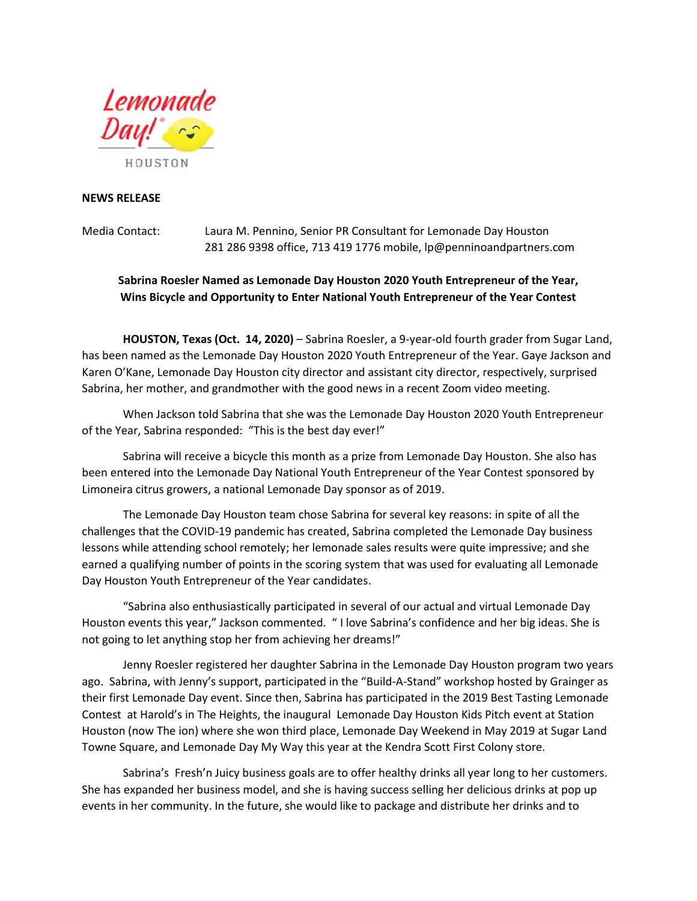

## **NEWS RELEASE**

Media Contact: Laura M. Pennino, Senior PR Consultant for Lemonade Day Houston 281 286 9398 office, 713 419 1776 mobile, lp@penninoandpartners.com

## **Sabrina Roesler Named as Lemonade Day Houston 2020 Youth Entrepreneur of the Year, Wins Bicycle and Opportunity to Enter National Youth Entrepreneur of the Year Contest**

**HOUSTON, Texas (Oct. 14, 2020)** – Sabrina Roesler, a 9-year-old fourth grader from Sugar Land, has been named as the Lemonade Day Houston 2020 Youth Entrepreneur of the Year. Gaye Jackson and Karen O'Kane, Lemonade Day Houston city director and assistant city director, respectively, surprised Sabrina, her mother, and grandmother with the good news in a recent Zoom video meeting.

When Jackson told Sabrina that she was the Lemonade Day Houston 2020 Youth Entrepreneur of the Year, Sabrina responded: "This is the best day ever!"

Sabrina will receive a bicycle this month as a prize from Lemonade Day Houston. She also has been entered into the Lemonade Day National Youth Entrepreneur of the Year Contest sponsored by Limoneira citrus growers, a national Lemonade Day sponsor as of 2019.

The Lemonade Day Houston team chose Sabrina for several key reasons: in spite of all the challenges that the COVID-19 pandemic has created, Sabrina completed the Lemonade Day business lessons while attending school remotely; her lemonade sales results were quite impressive; and she earned a qualifying number of points in the scoring system that was used for evaluating all Lemonade Day Houston Youth Entrepreneur of the Year candidates.

"Sabrina also enthusiastically participated in several of our actual and virtual Lemonade Day Houston events this year," Jackson commented. " I love Sabrina's confidence and her big ideas. She is not going to let anything stop her from achieving her dreams!"

Jenny Roesler registered her daughter Sabrina in the Lemonade Day Houston program two years ago. Sabrina, with Jenny's support, participated in the "Build-A-Stand" workshop hosted by Grainger as their first Lemonade Day event. Since then, Sabrina has participated in the 2019 Best Tasting Lemonade Contest at Harold's in The Heights, the inaugural Lemonade Day Houston Kids Pitch event at Station Houston (now The ion) where she won third place, Lemonade Day Weekend in May 2019 at Sugar Land Towne Square, and Lemonade Day My Way this year at the Kendra Scott First Colony store.

Sabrina's Fresh'n Juicy business goals are to offer healthy drinks all year long to her customers. She has expanded her business model, and she is having success selling her delicious drinks at pop up events in her community. In the future, she would like to package and distribute her drinks and to